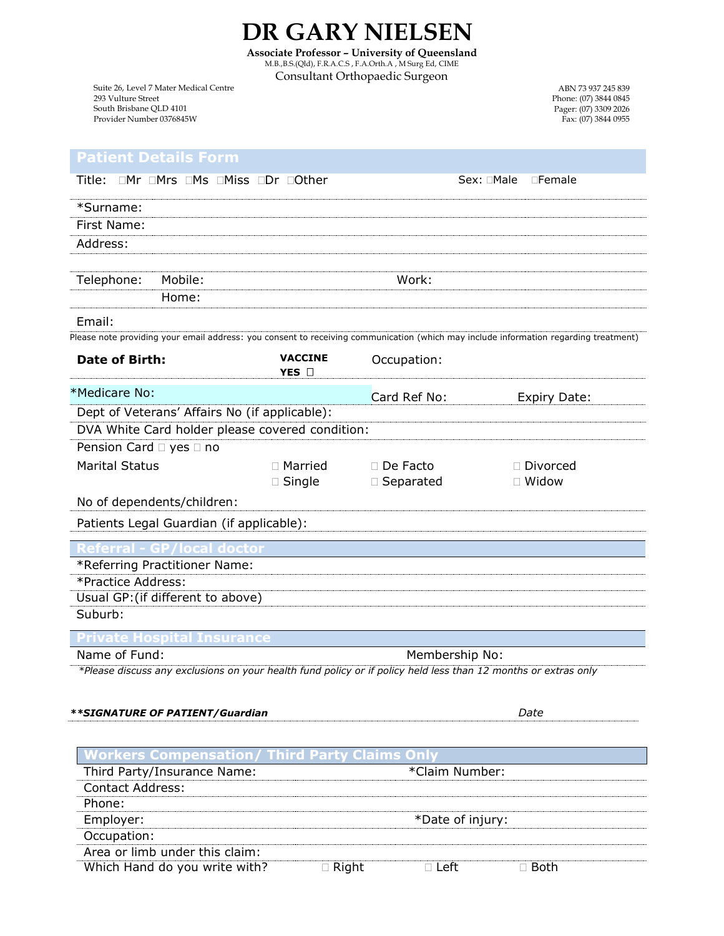**DR GARY NIELSEN Associate Professor** *–* **University of Queensland** M.B.,B.S.(Qld), F.R.A.C.S , F.A.Orth.A , M Surg Ed, CIME

Consultant Orthopaedic Surgeon

Suite 26, Level 7 Mater Medical Centre 293 Vulture Street South Brisbane QLD 4101 Provider Number 0376845W

## **Patient Details Form**

| Title: OMr OMrs OMs OMiss ODr OOther                                                                                                 |                         | Sex: □Male<br>$\square$ Female |                     |  |
|--------------------------------------------------------------------------------------------------------------------------------------|-------------------------|--------------------------------|---------------------|--|
| *Surname:                                                                                                                            |                         |                                |                     |  |
| First Name:                                                                                                                          |                         |                                |                     |  |
| Address:                                                                                                                             |                         |                                |                     |  |
|                                                                                                                                      |                         |                                |                     |  |
| Telephone:<br>Mobile:                                                                                                                |                         | Work:                          |                     |  |
| Home:                                                                                                                                |                         |                                |                     |  |
| Email:                                                                                                                               |                         |                                |                     |  |
| Please note providing your email address: you consent to receiving communication (which may include information regarding treatment) |                         |                                |                     |  |
| <b>Date of Birth:</b>                                                                                                                | <b>VACCINE</b><br>YES O | Occupation:                    |                     |  |
| *Medicare No:                                                                                                                        |                         | Card Ref No:                   | <b>Expiry Date:</b> |  |
| Dept of Veterans' Affairs No (if applicable):                                                                                        |                         |                                |                     |  |
| DVA White Card holder please covered condition:                                                                                      |                         |                                |                     |  |
| Pension Card □ yes □ no                                                                                                              |                         |                                |                     |  |
| <b>Marital Status</b>                                                                                                                | □ Married               | □ De Facto                     | □ Divorced          |  |
|                                                                                                                                      | $\Box$ Single           | □ Separated                    | $\Box$ Widow        |  |
| No of dependents/children:                                                                                                           |                         |                                |                     |  |
| Patients Legal Guardian (if applicable):                                                                                             |                         |                                |                     |  |
| <u>/local</u> doctor                                                                                                                 |                         |                                |                     |  |
| *Referring Practitioner Name:                                                                                                        |                         |                                |                     |  |
| *Practice Address:                                                                                                                   |                         |                                |                     |  |
| Usual GP: (if different to above)                                                                                                    |                         |                                |                     |  |
| Suburb:                                                                                                                              |                         |                                |                     |  |
| <b>Hospital Insurance</b>                                                                                                            |                         |                                |                     |  |
| Name of Fund:                                                                                                                        |                         | Membership No:                 |                     |  |
| *Please discuss any exclusions on your health fund policy or if policy held less than 12 months or extras only                       |                         |                                |                     |  |
|                                                                                                                                      |                         |                                |                     |  |
| **SIGNATURE OF PATIENT/Guardian                                                                                                      |                         |                                | Date                |  |
|                                                                                                                                      |                         |                                |                     |  |
| orkers Compensation/ Third Party Claims Onl                                                                                          |                         |                                |                     |  |
| Third Party/Insurance Name:                                                                                                          |                         | *Claim Number:                 |                     |  |
| <b>Contact Address:</b>                                                                                                              |                         |                                |                     |  |
| Phone:                                                                                                                               |                         |                                |                     |  |
| Employer:                                                                                                                            |                         | *Date of injury:               |                     |  |
| Occupation:                                                                                                                          |                         |                                |                     |  |
| Area or limb under this claim:                                                                                                       |                         |                                |                     |  |

| Wh<br>าเ<br>лc<br>,,, | with<br>$W^{\mu^+}$<br>וחע |  |  |
|-----------------------|----------------------------|--|--|

Fax: (07) 3844 0955

ABN 73 937 245 839 Phone: (07) 3844 0845 Pager: (07) 3309 2026

| UAN I NILLJLI                                                  |
|----------------------------------------------------------------|
| ate Professor – University of Queenslaı                        |
| $P(A I)$ $P(A A)$ $P(A B)$ $P(A A)$ $P(A B)$ $P(A B)$ $P(A B)$ |